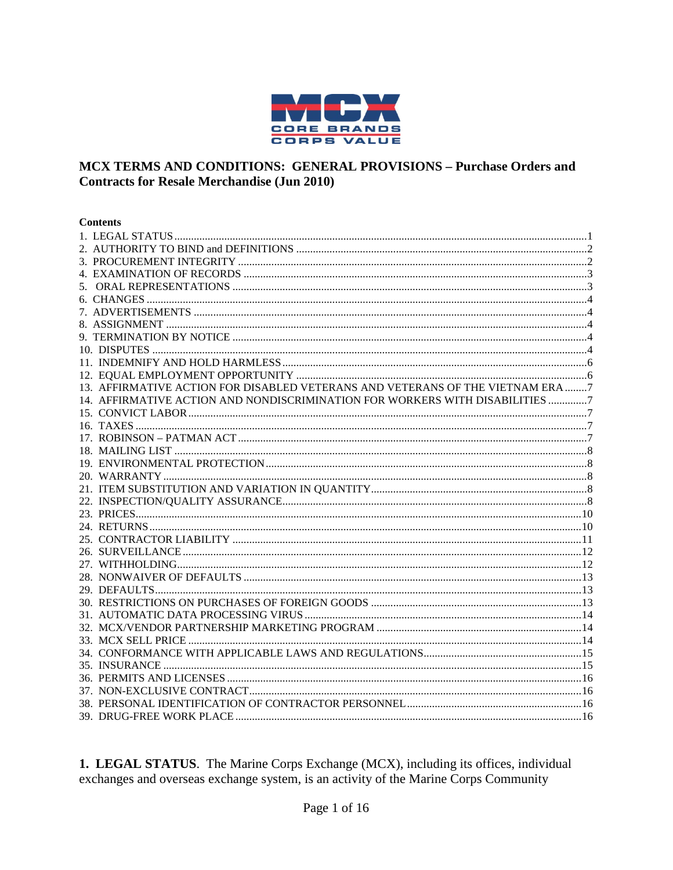

#### MCX TERMS AND CONDITIONS: GENERAL PROVISIONS - Purchase Orders and **Contracts for Resale Merchandise (Jun 2010)**

#### **Contents**

| 13. AFFIRMATIVE ACTION FOR DISABLED VETERANS AND VETERANS OF THE VIETNAM ERA 7 |  |
|--------------------------------------------------------------------------------|--|
| 14. AFFIRMATIVE ACTION AND NONDISCRIMINATION FOR WORKERS WITH DISABILITIES 7   |  |
|                                                                                |  |
|                                                                                |  |
|                                                                                |  |
|                                                                                |  |
|                                                                                |  |
|                                                                                |  |
|                                                                                |  |
|                                                                                |  |
|                                                                                |  |
|                                                                                |  |
|                                                                                |  |
|                                                                                |  |
|                                                                                |  |
|                                                                                |  |
|                                                                                |  |
|                                                                                |  |
|                                                                                |  |
|                                                                                |  |
|                                                                                |  |
|                                                                                |  |
|                                                                                |  |
|                                                                                |  |
|                                                                                |  |
|                                                                                |  |
|                                                                                |  |
|                                                                                |  |

<span id="page-0-0"></span>1. LEGAL STATUS. The Marine Corps Exchange (MCX), including its offices, individual exchanges and overseas exchange system, is an activity of the Marine Corps Community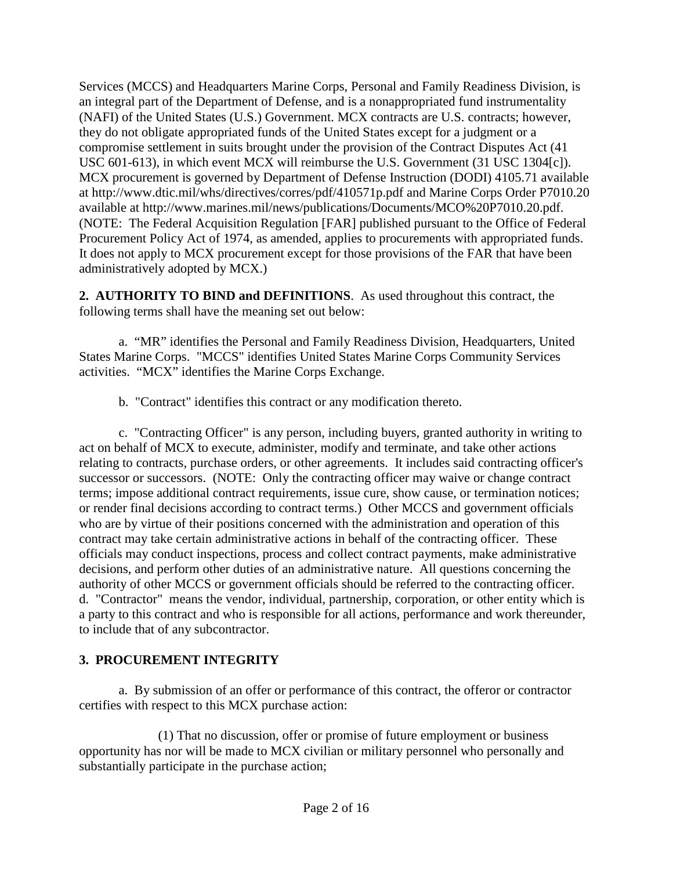Services (MCCS) and Headquarters Marine Corps, Personal and Family Readiness Division, is an integral part of the Department of Defense, and is a nonappropriated fund instrumentality (NAFI) of the United States (U.S.) Government. MCX contracts are U.S. contracts; however, they do not obligate appropriated funds of the United States except for a judgment or a compromise settlement in suits brought under the provision of the Contract Disputes Act (41 USC 601-613), in which event MCX will reimburse the U.S. Government (31 USC 1304[c]). MCX procurement is governed by Department of Defense Instruction (DODI) 4105.71 available at<http://www.dtic.mil/whs/directives/corres/pdf/410571p.pdf> and Marine Corps Order P7010.20 available at [http://www.marines.mil/news/publications/Documents/MCO%20P7010.20.pdf.](http://www.marines.mil/news/publications/Documents/MCO%20P7010.20.pdf) (NOTE: The Federal Acquisition Regulation [FAR] published pursuant to the Office of Federal Procurement Policy Act of 1974, as amended, applies to procurements with appropriated funds. It does not apply to MCX procurement except for those provisions of the FAR that have been administratively adopted by MCX.)

<span id="page-1-0"></span>**2. AUTHORITY TO BIND and DEFINITIONS**. As used throughout this contract, the following terms shall have the meaning set out below:

a. "MR" identifies the Personal and Family Readiness Division, Headquarters, United States Marine Corps. "MCCS" identifies United States Marine Corps Community Services activities. "MCX" identifies the Marine Corps Exchange.

b. "Contract" identifies this contract or any modification thereto.

c. "Contracting Officer" is any person, including buyers, granted authority in writing to act on behalf of MCX to execute, administer, modify and terminate, and take other actions relating to contracts, purchase orders, or other agreements. It includes said contracting officer's successor or successors. (NOTE: Only the contracting officer may waive or change contract terms; impose additional contract requirements, issue cure, show cause, or termination notices; or render final decisions according to contract terms.) Other MCCS and government officials who are by virtue of their positions concerned with the administration and operation of this contract may take certain administrative actions in behalf of the contracting officer. These officials may conduct inspections, process and collect contract payments, make administrative decisions, and perform other duties of an administrative nature. All questions concerning the authority of other MCCS or government officials should be referred to the contracting officer. d. "Contractor" means the vendor, individual, partnership, corporation, or other entity which is a party to this contract and who is responsible for all actions, performance and work thereunder, to include that of any subcontractor.

### <span id="page-1-1"></span>**3. PROCUREMENT INTEGRITY**

a. By submission of an offer or performance of this contract, the offeror or contractor certifies with respect to this MCX purchase action:

(1) That no discussion, offer or promise of future employment or business opportunity has nor will be made to MCX civilian or military personnel who personally and substantially participate in the purchase action;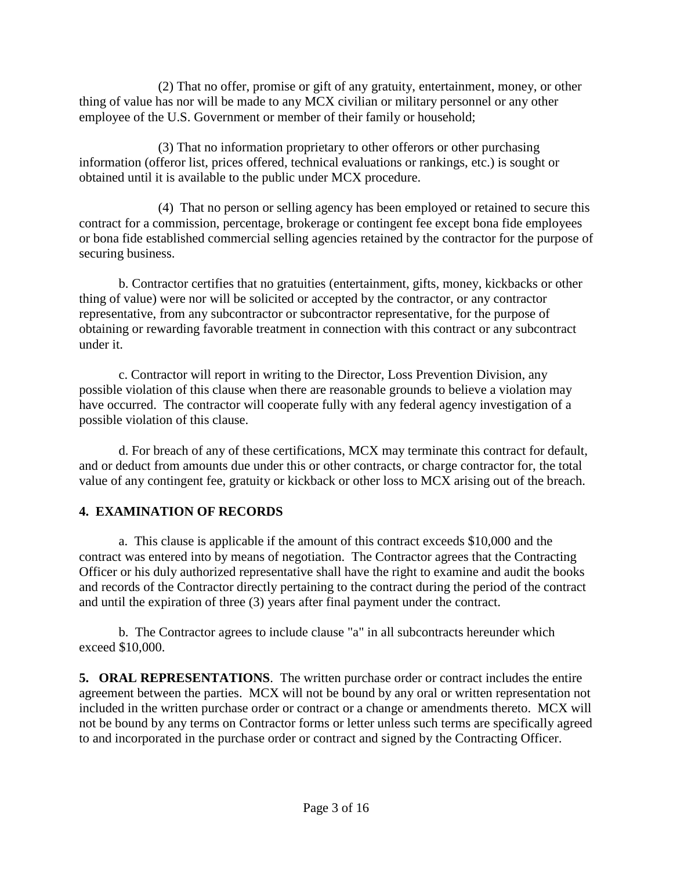(2) That no offer, promise or gift of any gratuity, entertainment, money, or other thing of value has nor will be made to any MCX civilian or military personnel or any other employee of the U.S. Government or member of their family or household;

(3) That no information proprietary to other offerors or other purchasing information (offeror list, prices offered, technical evaluations or rankings, etc.) is sought or obtained until it is available to the public under MCX procedure.

(4) That no person or selling agency has been employed or retained to secure this contract for a commission, percentage, brokerage or contingent fee except bona fide employees or bona fide established commercial selling agencies retained by the contractor for the purpose of securing business.

b. Contractor certifies that no gratuities (entertainment, gifts, money, kickbacks or other thing of value) were nor will be solicited or accepted by the contractor, or any contractor representative, from any subcontractor or subcontractor representative, for the purpose of obtaining or rewarding favorable treatment in connection with this contract or any subcontract under it.

c. Contractor will report in writing to the Director, Loss Prevention Division, any possible violation of this clause when there are reasonable grounds to believe a violation may have occurred. The contractor will cooperate fully with any federal agency investigation of a possible violation of this clause.

d. For breach of any of these certifications, MCX may terminate this contract for default, and or deduct from amounts due under this or other contracts, or charge contractor for, the total value of any contingent fee, gratuity or kickback or other loss to MCX arising out of the breach.

### <span id="page-2-0"></span>**4. EXAMINATION OF RECORDS**

a. This clause is applicable if the amount of this contract exceeds \$10,000 and the contract was entered into by means of negotiation. The Contractor agrees that the Contracting Officer or his duly authorized representative shall have the right to examine and audit the books and records of the Contractor directly pertaining to the contract during the period of the contract and until the expiration of three (3) years after final payment under the contract.

b. The Contractor agrees to include clause "a" in all subcontracts hereunder which exceed \$10,000.

<span id="page-2-1"></span>**5. ORAL REPRESENTATIONS**. The written purchase order or contract includes the entire agreement between the parties. MCX will not be bound by any oral or written representation not included in the written purchase order or contract or a change or amendments thereto. MCX will not be bound by any terms on Contractor forms or letter unless such terms are specifically agreed to and incorporated in the purchase order or contract and signed by the Contracting Officer.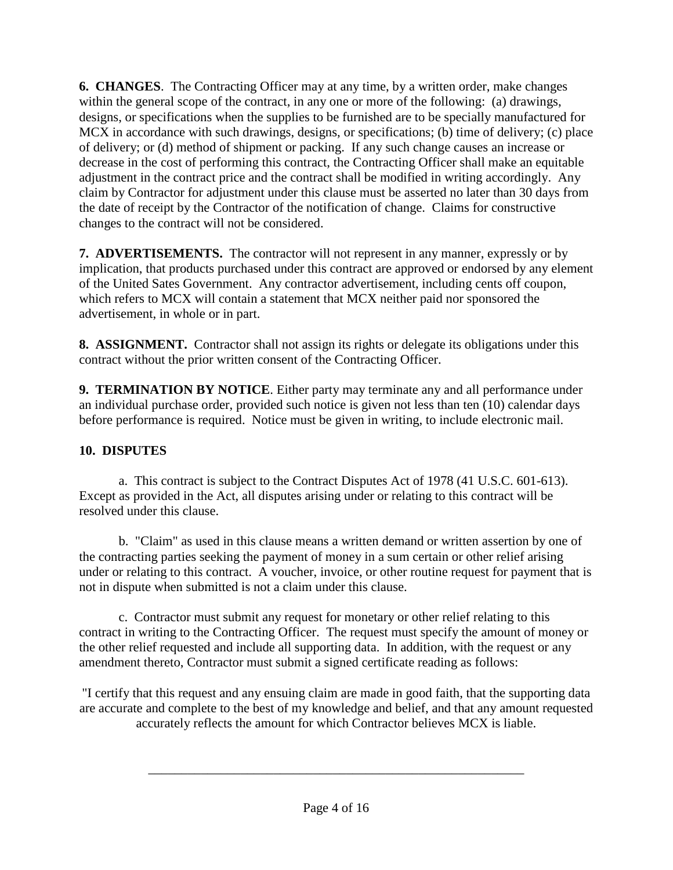<span id="page-3-0"></span>**6. CHANGES**. The Contracting Officer may at any time, by a written order, make changes within the general scope of the contract, in any one or more of the following: (a) drawings, designs, or specifications when the supplies to be furnished are to be specially manufactured for MCX in accordance with such drawings, designs, or specifications; (b) time of delivery; (c) place of delivery; or (d) method of shipment or packing. If any such change causes an increase or decrease in the cost of performing this contract, the Contracting Officer shall make an equitable adjustment in the contract price and the contract shall be modified in writing accordingly. Any claim by Contractor for adjustment under this clause must be asserted no later than 30 days from the date of receipt by the Contractor of the notification of change. Claims for constructive changes to the contract will not be considered.

<span id="page-3-1"></span>**7. ADVERTISEMENTS.** The contractor will not represent in any manner, expressly or by implication, that products purchased under this contract are approved or endorsed by any element of the United Sates Government. Any contractor advertisement, including cents off coupon, which refers to MCX will contain a statement that MCX neither paid nor sponsored the advertisement, in whole or in part.

<span id="page-3-2"></span>**8. ASSIGNMENT.** Contractor shall not assign its rights or delegate its obligations under this contract without the prior written consent of the Contracting Officer.

<span id="page-3-3"></span>**9. TERMINATION BY NOTICE**. Either party may terminate any and all performance under an individual purchase order, provided such notice is given not less than ten (10) calendar days before performance is required. Notice must be given in writing, to include electronic mail.

## <span id="page-3-4"></span>**10. DISPUTES**

a. This contract is subject to the Contract Disputes Act of 1978 (41 U.S.C. 601-613). Except as provided in the Act, all disputes arising under or relating to this contract will be resolved under this clause.

b. "Claim" as used in this clause means a written demand or written assertion by one of the contracting parties seeking the payment of money in a sum certain or other relief arising under or relating to this contract. A voucher, invoice, or other routine request for payment that is not in dispute when submitted is not a claim under this clause.

c. Contractor must submit any request for monetary or other relief relating to this contract in writing to the Contracting Officer. The request must specify the amount of money or the other relief requested and include all supporting data. In addition, with the request or any amendment thereto, Contractor must submit a signed certificate reading as follows:

"I certify that this request and any ensuing claim are made in good faith, that the supporting data are accurate and complete to the best of my knowledge and belief, and that any amount requested accurately reflects the amount for which Contractor believes MCX is liable.

\_\_\_\_\_\_\_\_\_\_\_\_\_\_\_\_\_\_\_\_\_\_\_\_\_\_\_\_\_\_\_\_\_\_\_\_\_\_\_\_\_\_\_\_\_\_\_\_\_\_\_\_\_\_\_\_\_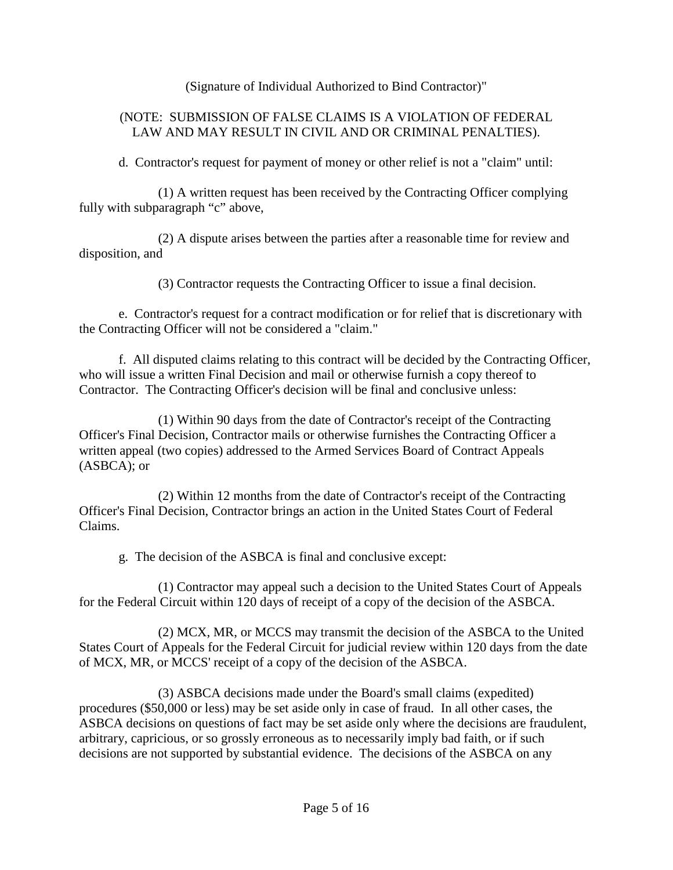(Signature of Individual Authorized to Bind Contractor)"

#### (NOTE: SUBMISSION OF FALSE CLAIMS IS A VIOLATION OF FEDERAL LAW AND MAY RESULT IN CIVIL AND OR CRIMINAL PENALTIES).

d. Contractor's request for payment of money or other relief is not a "claim" until:

(1) A written request has been received by the Contracting Officer complying fully with subparagraph "c" above,

(2) A dispute arises between the parties after a reasonable time for review and disposition, and

(3) Contractor requests the Contracting Officer to issue a final decision.

e. Contractor's request for a contract modification or for relief that is discretionary with the Contracting Officer will not be considered a "claim."

f. All disputed claims relating to this contract will be decided by the Contracting Officer, who will issue a written Final Decision and mail or otherwise furnish a copy thereof to Contractor. The Contracting Officer's decision will be final and conclusive unless:

(1) Within 90 days from the date of Contractor's receipt of the Contracting Officer's Final Decision, Contractor mails or otherwise furnishes the Contracting Officer a written appeal (two copies) addressed to the Armed Services Board of Contract Appeals (ASBCA); or

(2) Within 12 months from the date of Contractor's receipt of the Contracting Officer's Final Decision, Contractor brings an action in the United States Court of Federal Claims.

g. The decision of the ASBCA is final and conclusive except:

(1) Contractor may appeal such a decision to the United States Court of Appeals for the Federal Circuit within 120 days of receipt of a copy of the decision of the ASBCA.

(2) MCX, MR, or MCCS may transmit the decision of the ASBCA to the United States Court of Appeals for the Federal Circuit for judicial review within 120 days from the date of MCX, MR, or MCCS' receipt of a copy of the decision of the ASBCA.

(3) ASBCA decisions made under the Board's small claims (expedited) procedures (\$50,000 or less) may be set aside only in case of fraud. In all other cases, the ASBCA decisions on questions of fact may be set aside only where the decisions are fraudulent, arbitrary, capricious, or so grossly erroneous as to necessarily imply bad faith, or if such decisions are not supported by substantial evidence. The decisions of the ASBCA on any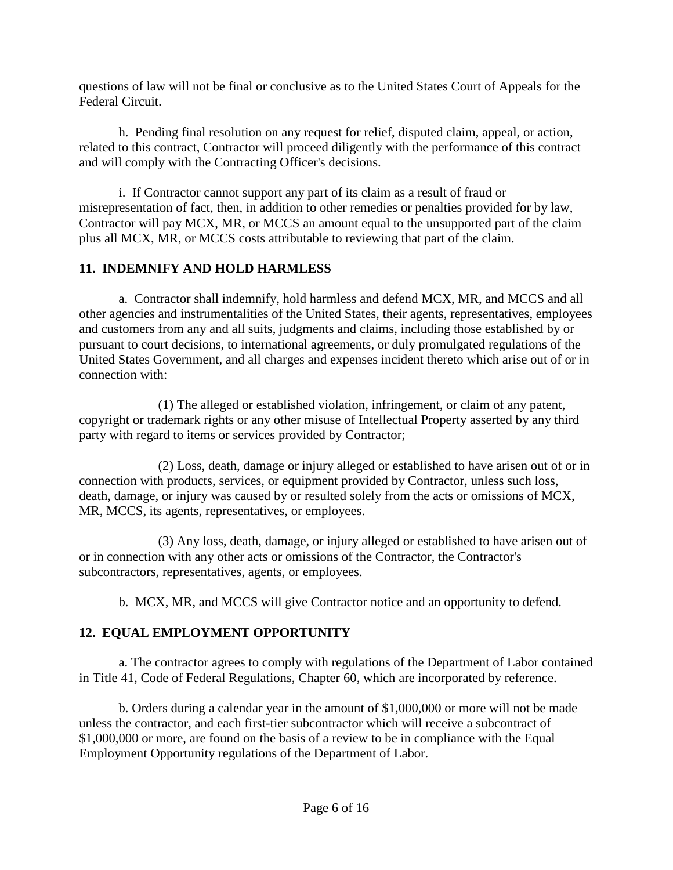questions of law will not be final or conclusive as to the United States Court of Appeals for the Federal Circuit.

h. Pending final resolution on any request for relief, disputed claim, appeal, or action, related to this contract, Contractor will proceed diligently with the performance of this contract and will comply with the Contracting Officer's decisions.

i. If Contractor cannot support any part of its claim as a result of fraud or misrepresentation of fact, then, in addition to other remedies or penalties provided for by law, Contractor will pay MCX, MR, or MCCS an amount equal to the unsupported part of the claim plus all MCX, MR, or MCCS costs attributable to reviewing that part of the claim.

## <span id="page-5-0"></span>**11. INDEMNIFY AND HOLD HARMLESS**

a. Contractor shall indemnify, hold harmless and defend MCX, MR, and MCCS and all other agencies and instrumentalities of the United States, their agents, representatives, employees and customers from any and all suits, judgments and claims, including those established by or pursuant to court decisions, to international agreements, or duly promulgated regulations of the United States Government, and all charges and expenses incident thereto which arise out of or in connection with:

(1) The alleged or established violation, infringement, or claim of any patent, copyright or trademark rights or any other misuse of Intellectual Property asserted by any third party with regard to items or services provided by Contractor;

(2) Loss, death, damage or injury alleged or established to have arisen out of or in connection with products, services, or equipment provided by Contractor, unless such loss, death, damage, or injury was caused by or resulted solely from the acts or omissions of MCX, MR, MCCS, its agents, representatives, or employees.

(3) Any loss, death, damage, or injury alleged or established to have arisen out of or in connection with any other acts or omissions of the Contractor, the Contractor's subcontractors, representatives, agents, or employees.

b. MCX, MR, and MCCS will give Contractor notice and an opportunity to defend.

# <span id="page-5-1"></span>**12. EQUAL EMPLOYMENT OPPORTUNITY**

a. The contractor agrees to comply with regulations of the Department of Labor contained in Title 41, Code of Federal Regulations, Chapter 60, which are incorporated by reference.

b. Orders during a calendar year in the amount of \$1,000,000 or more will not be made unless the contractor, and each first-tier subcontractor which will receive a subcontract of \$1,000,000 or more, are found on the basis of a review to be in compliance with the Equal Employment Opportunity regulations of the Department of Labor.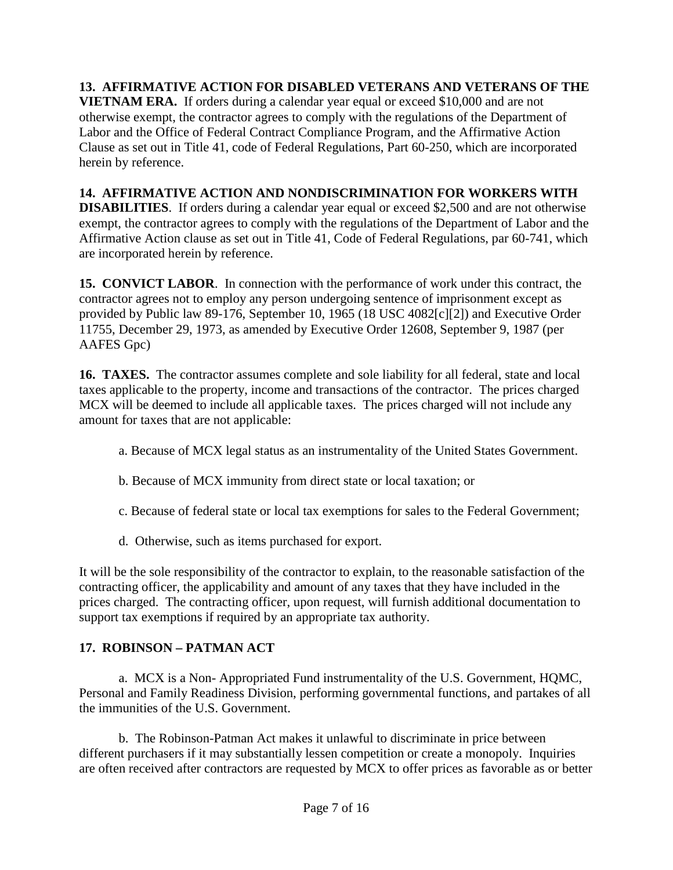<span id="page-6-0"></span>**13. AFFIRMATIVE ACTION FOR DISABLED VETERANS AND VETERANS OF THE VIETNAM ERA.** If orders during a calendar year equal or exceed \$10,000 and are not otherwise exempt, the contractor agrees to comply with the regulations of the Department of Labor and the Office of Federal Contract Compliance Program, and the Affirmative Action Clause as set out in Title 41, code of Federal Regulations, Part 60-250, which are incorporated herein by reference.

## <span id="page-6-1"></span>**14. AFFIRMATIVE ACTION AND NONDISCRIMINATION FOR WORKERS WITH**

**DISABILITIES**. If orders during a calendar year equal or exceed \$2,500 and are not otherwise exempt, the contractor agrees to comply with the regulations of the Department of Labor and the Affirmative Action clause as set out in Title 41, Code of Federal Regulations, par 60-741, which are incorporated herein by reference.

<span id="page-6-2"></span>**15. CONVICT LABOR**. In connection with the performance of work under this contract, the contractor agrees not to employ any person undergoing sentence of imprisonment except as provided by Public law 89-176, September 10, 1965 (18 USC 4082[c][2]) and Executive Order 11755, December 29, 1973, as amended by Executive Order 12608, September 9, 1987 (per AAFES Gpc)

<span id="page-6-3"></span>**16. TAXES.** The contractor assumes complete and sole liability for all federal, state and local taxes applicable to the property, income and transactions of the contractor. The prices charged MCX will be deemed to include all applicable taxes. The prices charged will not include any amount for taxes that are not applicable:

- a. Because of MCX legal status as an instrumentality of the United States Government.
- b. Because of MCX immunity from direct state or local taxation; or
- c. Because of federal state or local tax exemptions for sales to the Federal Government;
- d. Otherwise, such as items purchased for export.

It will be the sole responsibility of the contractor to explain, to the reasonable satisfaction of the contracting officer, the applicability and amount of any taxes that they have included in the prices charged. The contracting officer, upon request, will furnish additional documentation to support tax exemptions if required by an appropriate tax authority.

### <span id="page-6-4"></span>**17. ROBINSON – PATMAN ACT**

a. MCX is a Non- Appropriated Fund instrumentality of the U.S. Government, HQMC, Personal and Family Readiness Division, performing governmental functions, and partakes of all the immunities of the U.S. Government.

b. The Robinson-Patman Act makes it unlawful to discriminate in price between different purchasers if it may substantially lessen competition or create a monopoly. Inquiries are often received after contractors are requested by MCX to offer prices as favorable as or better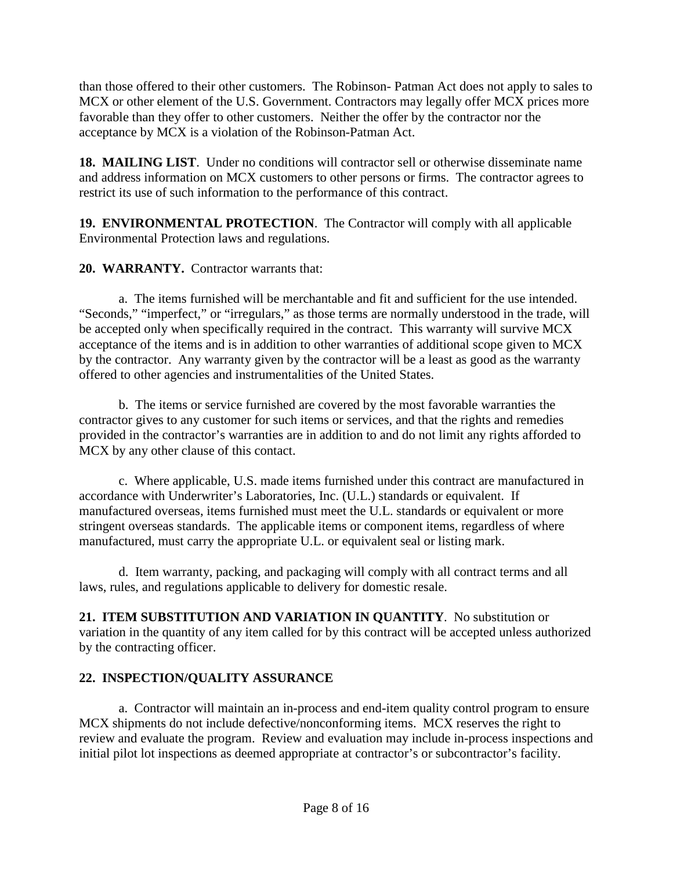than those offered to their other customers. The Robinson- Patman Act does not apply to sales to MCX or other element of the U.S. Government. Contractors may legally offer MCX prices more favorable than they offer to other customers. Neither the offer by the contractor nor the acceptance by MCX is a violation of the Robinson-Patman Act.

<span id="page-7-0"></span>**18. MAILING LIST**. Under no conditions will contractor sell or otherwise disseminate name and address information on MCX customers to other persons or firms. The contractor agrees to restrict its use of such information to the performance of this contract.

<span id="page-7-1"></span>**19. ENVIRONMENTAL PROTECTION**. The Contractor will comply with all applicable Environmental Protection laws and regulations.

<span id="page-7-2"></span>**20. WARRANTY.** Contractor warrants that:

a. The items furnished will be merchantable and fit and sufficient for the use intended. "Seconds," "imperfect," or "irregulars," as those terms are normally understood in the trade, will be accepted only when specifically required in the contract. This warranty will survive MCX acceptance of the items and is in addition to other warranties of additional scope given to MCX by the contractor. Any warranty given by the contractor will be a least as good as the warranty offered to other agencies and instrumentalities of the United States.

b. The items or service furnished are covered by the most favorable warranties the contractor gives to any customer for such items or services, and that the rights and remedies provided in the contractor's warranties are in addition to and do not limit any rights afforded to MCX by any other clause of this contact.

c. Where applicable, U.S. made items furnished under this contract are manufactured in accordance with Underwriter's Laboratories, Inc. (U.L.) standards or equivalent. If manufactured overseas, items furnished must meet the U.L. standards or equivalent or more stringent overseas standards. The applicable items or component items, regardless of where manufactured, must carry the appropriate U.L. or equivalent seal or listing mark.

d. Item warranty, packing, and packaging will comply with all contract terms and all laws, rules, and regulations applicable to delivery for domestic resale.

<span id="page-7-3"></span>**21. ITEM SUBSTITUTION AND VARIATION IN QUANTITY**.No substitution or variation in the quantity of any item called for by this contract will be accepted unless authorized by the contracting officer.

## <span id="page-7-4"></span>**22. INSPECTION/QUALITY ASSURANCE**

a. Contractor will maintain an in-process and end-item quality control program to ensure MCX shipments do not include defective/nonconforming items. MCX reserves the right to review and evaluate the program. Review and evaluation may include in-process inspections and initial pilot lot inspections as deemed appropriate at contractor's or subcontractor's facility.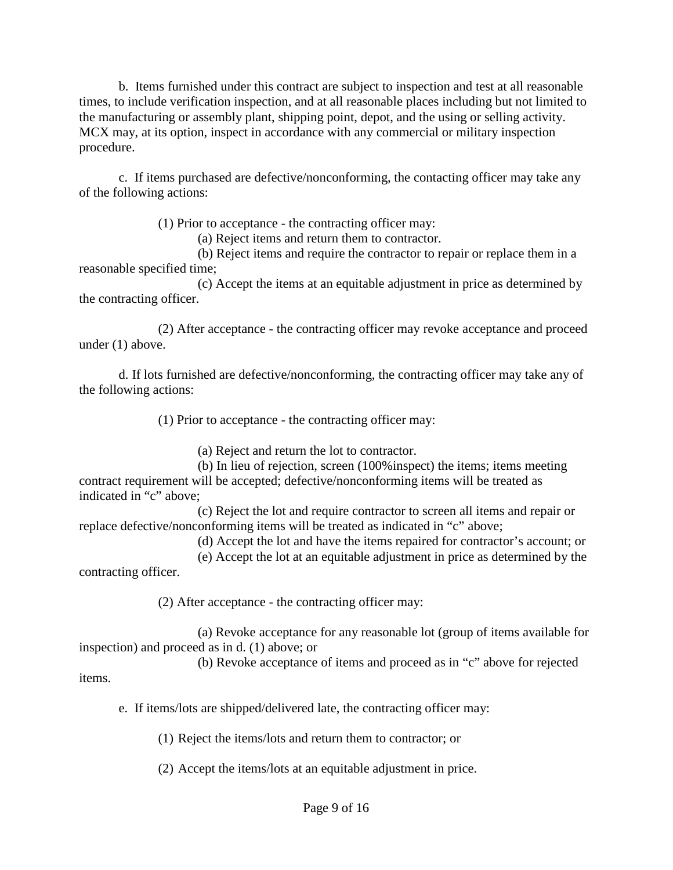b. Items furnished under this contract are subject to inspection and test at all reasonable times, to include verification inspection, and at all reasonable places including but not limited to the manufacturing or assembly plant, shipping point, depot, and the using or selling activity. MCX may, at its option, inspect in accordance with any commercial or military inspection procedure.

c. If items purchased are defective/nonconforming, the contacting officer may take any of the following actions:

(1) Prior to acceptance - the contracting officer may:

(a) Reject items and return them to contractor.

(b) Reject items and require the contractor to repair or replace them in a reasonable specified time;

(c) Accept the items at an equitable adjustment in price as determined by the contracting officer.

(2) After acceptance - the contracting officer may revoke acceptance and proceed under (1) above.

d. If lots furnished are defective/nonconforming, the contracting officer may take any of the following actions:

(1) Prior to acceptance - the contracting officer may:

(a) Reject and return the lot to contractor.

(b) In lieu of rejection, screen (100%inspect) the items; items meeting contract requirement will be accepted; defective/nonconforming items will be treated as indicated in "c" above;

(c) Reject the lot and require contractor to screen all items and repair or replace defective/nonconforming items will be treated as indicated in "c" above;

(d) Accept the lot and have the items repaired for contractor's account; or

(e) Accept the lot at an equitable adjustment in price as determined by the contracting officer.

(2) After acceptance - the contracting officer may:

(a) Revoke acceptance for any reasonable lot (group of items available for inspection) and proceed as in d. (1) above; or

(b) Revoke acceptance of items and proceed as in "c" above for rejected items.

e. If items/lots are shipped/delivered late, the contracting officer may:

(1) Reject the items/lots and return them to contractor; or

(2) Accept the items/lots at an equitable adjustment in price.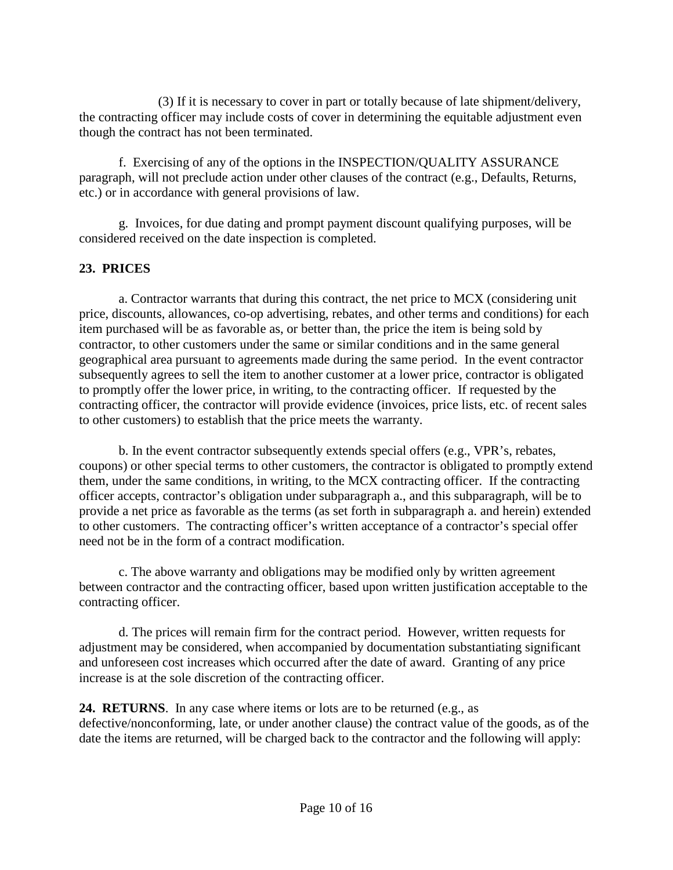(3) If it is necessary to cover in part or totally because of late shipment/delivery, the contracting officer may include costs of cover in determining the equitable adjustment even though the contract has not been terminated.

f. Exercising of any of the options in the INSPECTION/QUALITY ASSURANCE paragraph, will not preclude action under other clauses of the contract (e.g., Defaults, Returns, etc.) or in accordance with general provisions of law.

g. Invoices, for due dating and prompt payment discount qualifying purposes, will be considered received on the date inspection is completed.

### <span id="page-9-0"></span>**23. PRICES**

a. Contractor warrants that during this contract, the net price to MCX (considering unit price, discounts, allowances, co-op advertising, rebates, and other terms and conditions) for each item purchased will be as favorable as, or better than, the price the item is being sold by contractor, to other customers under the same or similar conditions and in the same general geographical area pursuant to agreements made during the same period. In the event contractor subsequently agrees to sell the item to another customer at a lower price, contractor is obligated to promptly offer the lower price, in writing, to the contracting officer. If requested by the contracting officer, the contractor will provide evidence (invoices, price lists, etc. of recent sales to other customers) to establish that the price meets the warranty.

b. In the event contractor subsequently extends special offers (e.g., VPR's, rebates, coupons) or other special terms to other customers, the contractor is obligated to promptly extend them, under the same conditions, in writing, to the MCX contracting officer. If the contracting officer accepts, contractor's obligation under subparagraph a., and this subparagraph, will be to provide a net price as favorable as the terms (as set forth in subparagraph a. and herein) extended to other customers. The contracting officer's written acceptance of a contractor's special offer need not be in the form of a contract modification.

c. The above warranty and obligations may be modified only by written agreement between contractor and the contracting officer, based upon written justification acceptable to the contracting officer.

d. The prices will remain firm for the contract period. However, written requests for adjustment may be considered, when accompanied by documentation substantiating significant and unforeseen cost increases which occurred after the date of award. Granting of any price increase is at the sole discretion of the contracting officer.

<span id="page-9-1"></span>**24. RETURNS**. In any case where items or lots are to be returned (e.g., as defective/nonconforming, late, or under another clause) the contract value of the goods, as of the date the items are returned, will be charged back to the contractor and the following will apply: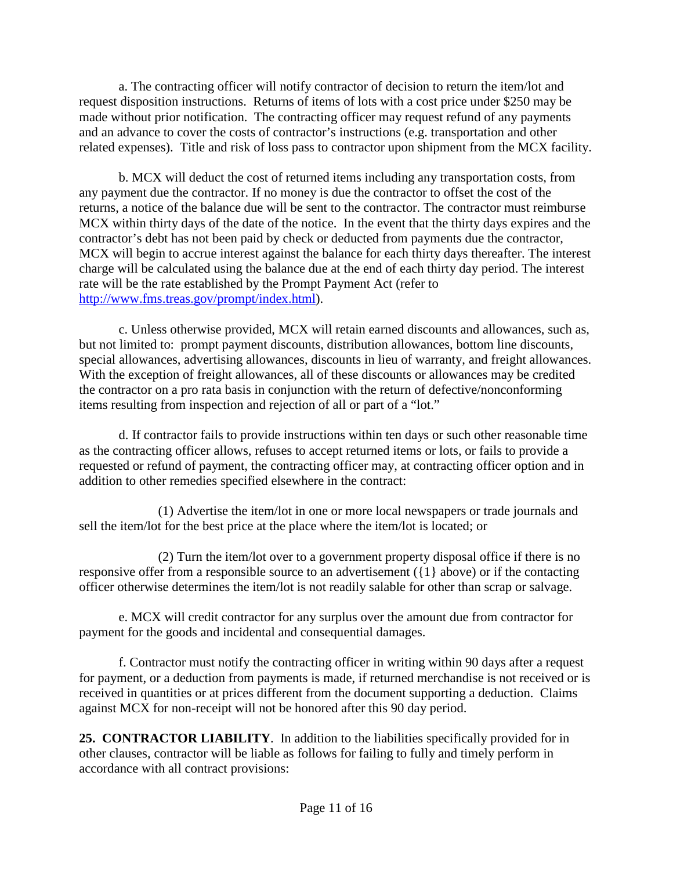a. The contracting officer will notify contractor of decision to return the item/lot and request disposition instructions. Returns of items of lots with a cost price under \$250 may be made without prior notification. The contracting officer may request refund of any payments and an advance to cover the costs of contractor's instructions (e.g. transportation and other related expenses). Title and risk of loss pass to contractor upon shipment from the MCX facility.

b. MCX will deduct the cost of returned items including any transportation costs, from any payment due the contractor. If no money is due the contractor to offset the cost of the returns, a notice of the balance due will be sent to the contractor. The contractor must reimburse MCX within thirty days of the date of the notice. In the event that the thirty days expires and the contractor's debt has not been paid by check or deducted from payments due the contractor, MCX will begin to accrue interest against the balance for each thirty days thereafter. The interest charge will be calculated using the balance due at the end of each thirty day period. The interest rate will be the rate established by the Prompt Payment Act (refer to [http://www.fms.treas.gov/prompt/index.html\)](http://www.fms.treas.gov/prompt/index.html).

c. Unless otherwise provided, MCX will retain earned discounts and allowances, such as, but not limited to: prompt payment discounts, distribution allowances, bottom line discounts, special allowances, advertising allowances, discounts in lieu of warranty, and freight allowances. With the exception of freight allowances, all of these discounts or allowances may be credited the contractor on a pro rata basis in conjunction with the return of defective/nonconforming items resulting from inspection and rejection of all or part of a "lot."

d. If contractor fails to provide instructions within ten days or such other reasonable time as the contracting officer allows, refuses to accept returned items or lots, or fails to provide a requested or refund of payment, the contracting officer may, at contracting officer option and in addition to other remedies specified elsewhere in the contract:

(1) Advertise the item/lot in one or more local newspapers or trade journals and sell the item/lot for the best price at the place where the item/lot is located; or

(2) Turn the item/lot over to a government property disposal office if there is no responsive offer from a responsible source to an advertisement ({1} above) or if the contacting officer otherwise determines the item/lot is not readily salable for other than scrap or salvage.

e. MCX will credit contractor for any surplus over the amount due from contractor for payment for the goods and incidental and consequential damages.

f. Contractor must notify the contracting officer in writing within 90 days after a request for payment, or a deduction from payments is made, if returned merchandise is not received or is received in quantities or at prices different from the document supporting a deduction. Claims against MCX for non-receipt will not be honored after this 90 day period.

<span id="page-10-0"></span>**25. CONTRACTOR LIABILITY**. In addition to the liabilities specifically provided for in other clauses, contractor will be liable as follows for failing to fully and timely perform in accordance with all contract provisions: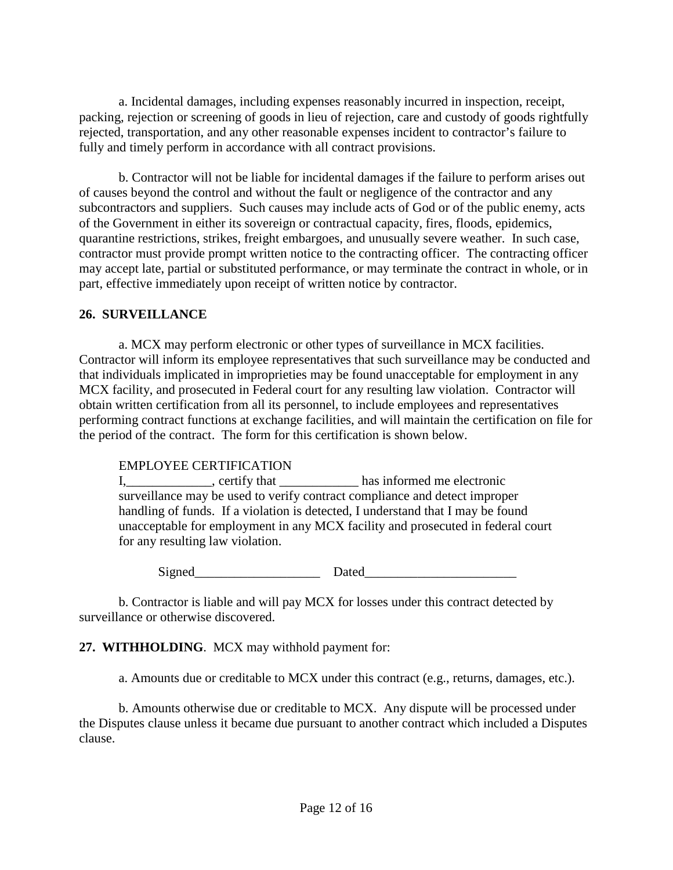a. Incidental damages, including expenses reasonably incurred in inspection, receipt, packing, rejection or screening of goods in lieu of rejection, care and custody of goods rightfully rejected, transportation, and any other reasonable expenses incident to contractor's failure to fully and timely perform in accordance with all contract provisions.

b. Contractor will not be liable for incidental damages if the failure to perform arises out of causes beyond the control and without the fault or negligence of the contractor and any subcontractors and suppliers. Such causes may include acts of God or of the public enemy, acts of the Government in either its sovereign or contractual capacity, fires, floods, epidemics, quarantine restrictions, strikes, freight embargoes, and unusually severe weather. In such case, contractor must provide prompt written notice to the contracting officer. The contracting officer may accept late, partial or substituted performance, or may terminate the contract in whole, or in part, effective immediately upon receipt of written notice by contractor.

#### <span id="page-11-0"></span>**26. SURVEILLANCE**

a. MCX may perform electronic or other types of surveillance in MCX facilities. Contractor will inform its employee representatives that such surveillance may be conducted and that individuals implicated in improprieties may be found unacceptable for employment in any MCX facility, and prosecuted in Federal court for any resulting law violation. Contractor will obtain written certification from all its personnel, to include employees and representatives performing contract functions at exchange facilities, and will maintain the certification on file for the period of the contract. The form for this certification is shown below.

#### EMPLOYEE CERTIFICATION

I,\_\_\_\_\_\_\_\_\_\_\_\_\_, certify that \_\_\_\_\_\_\_\_\_\_\_\_ has informed me electronic surveillance may be used to verify contract compliance and detect improper handling of funds. If a violation is detected, I understand that I may be found unacceptable for employment in any MCX facility and prosecuted in federal court for any resulting law violation.

 $Signal$  Dated

b. Contractor is liable and will pay MCX for losses under this contract detected by surveillance or otherwise discovered.

#### <span id="page-11-1"></span>**27. WITHHOLDING**. MCX may withhold payment for:

a. Amounts due or creditable to MCX under this contract (e.g., returns, damages, etc.).

b. Amounts otherwise due or creditable to MCX. Any dispute will be processed under the Disputes clause unless it became due pursuant to another contract which included a Disputes clause.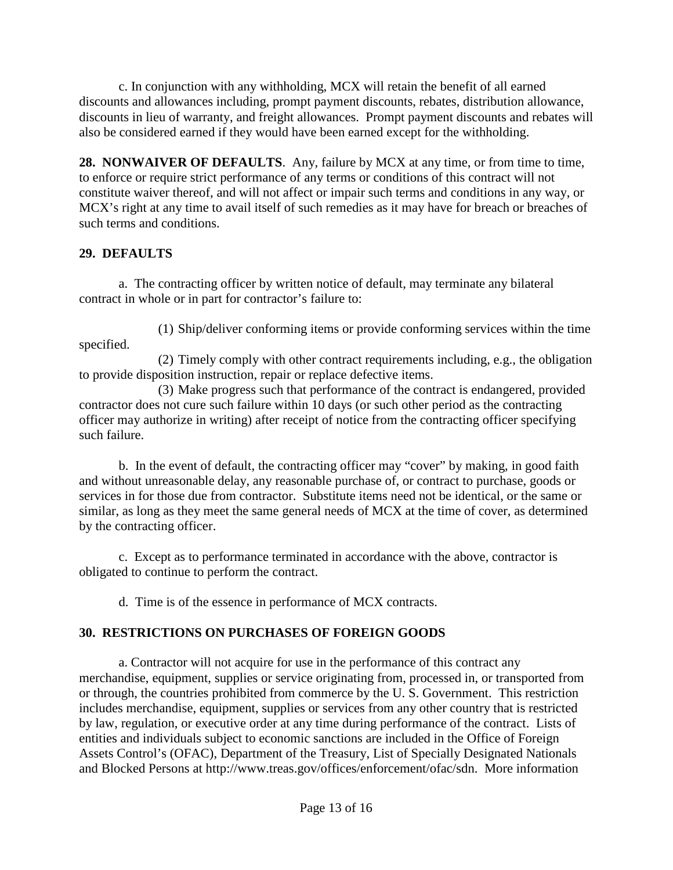c. In conjunction with any withholding, MCX will retain the benefit of all earned discounts and allowances including, prompt payment discounts, rebates, distribution allowance, discounts in lieu of warranty, and freight allowances. Prompt payment discounts and rebates will also be considered earned if they would have been earned except for the withholding.

<span id="page-12-0"></span>**28. NONWAIVER OF DEFAULTS**. Any, failure by MCX at any time, or from time to time, to enforce or require strict performance of any terms or conditions of this contract will not constitute waiver thereof, and will not affect or impair such terms and conditions in any way, or MCX's right at any time to avail itself of such remedies as it may have for breach or breaches of such terms and conditions.

## <span id="page-12-1"></span>**29. DEFAULTS**

a. The contracting officer by written notice of default, may terminate any bilateral contract in whole or in part for contractor's failure to:

(1) Ship/deliver conforming items or provide conforming services within the time specified.

(2) Timely comply with other contract requirements including, e.g., the obligation to provide disposition instruction, repair or replace defective items.

(3) Make progress such that performance of the contract is endangered, provided contractor does not cure such failure within 10 days (or such other period as the contracting officer may authorize in writing) after receipt of notice from the contracting officer specifying such failure.

b. In the event of default, the contracting officer may "cover" by making, in good faith and without unreasonable delay, any reasonable purchase of, or contract to purchase, goods or services in for those due from contractor. Substitute items need not be identical, or the same or similar, as long as they meet the same general needs of MCX at the time of cover, as determined by the contracting officer.

c. Except as to performance terminated in accordance with the above, contractor is obligated to continue to perform the contract.

d. Time is of the essence in performance of MCX contracts.

## <span id="page-12-2"></span>**30. RESTRICTIONS ON PURCHASES OF FOREIGN GOODS**

a. Contractor will not acquire for use in the performance of this contract any merchandise, equipment, supplies or service originating from, processed in, or transported from or through, the countries prohibited from commerce by the U. S. Government. This restriction includes merchandise, equipment, supplies or services from any other country that is restricted by law, regulation, or executive order at any time during performance of the contract. Lists of entities and individuals subject to economic sanctions are included in the Office of Foreign Assets Control's (OFAC), Department of the Treasury, List of Specially Designated Nationals and Blocked Persons at [http://www.treas.gov/offices/enforcement/ofac/sdn.](http://www.treas.gov/offices/enforcement/ofac/sdn) More information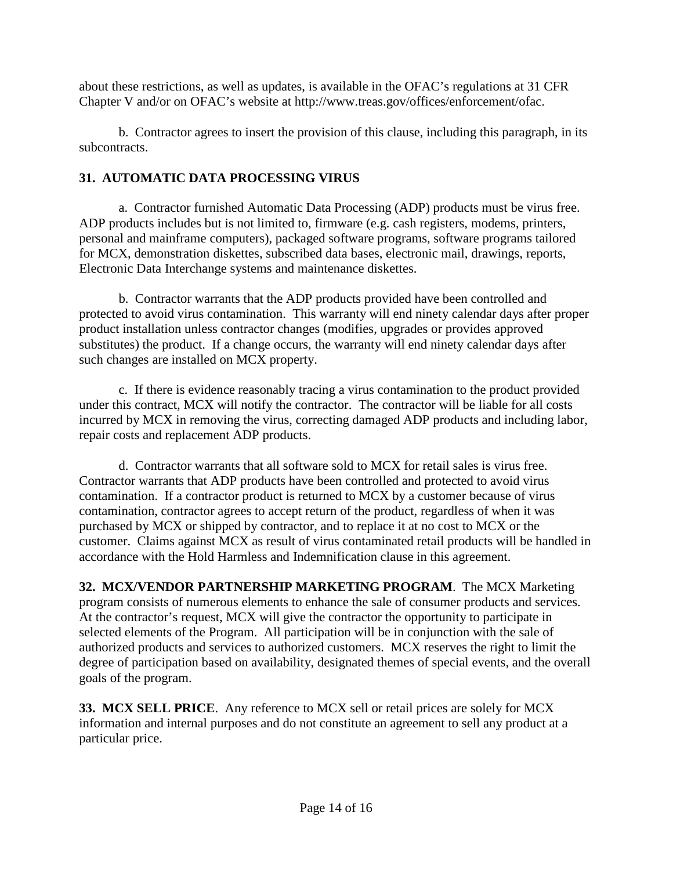about these restrictions, as well as updates, is available in the OFAC's regulations at 31 CFR Chapter V and/or on OFAC's website at [http://www.treas.gov/offices/enforcement/ofac.](http://www.treas.gov/offices/enforcement/ofac)

b. Contractor agrees to insert the provision of this clause, including this paragraph, in its subcontracts.

## <span id="page-13-0"></span>**31. AUTOMATIC DATA PROCESSING VIRUS**

a. Contractor furnished Automatic Data Processing (ADP) products must be virus free. ADP products includes but is not limited to, firmware (e.g. cash registers, modems, printers, personal and mainframe computers), packaged software programs, software programs tailored for MCX, demonstration diskettes, subscribed data bases, electronic mail, drawings, reports, Electronic Data Interchange systems and maintenance diskettes.

b. Contractor warrants that the ADP products provided have been controlled and protected to avoid virus contamination. This warranty will end ninety calendar days after proper product installation unless contractor changes (modifies, upgrades or provides approved substitutes) the product. If a change occurs, the warranty will end ninety calendar days after such changes are installed on MCX property.

c. If there is evidence reasonably tracing a virus contamination to the product provided under this contract, MCX will notify the contractor. The contractor will be liable for all costs incurred by MCX in removing the virus, correcting damaged ADP products and including labor, repair costs and replacement ADP products.

d. Contractor warrants that all software sold to MCX for retail sales is virus free. Contractor warrants that ADP products have been controlled and protected to avoid virus contamination. If a contractor product is returned to MCX by a customer because of virus contamination, contractor agrees to accept return of the product, regardless of when it was purchased by MCX or shipped by contractor, and to replace it at no cost to MCX or the customer. Claims against MCX as result of virus contaminated retail products will be handled in accordance with the Hold Harmless and Indemnification clause in this agreement.

<span id="page-13-1"></span>**32. MCX/VENDOR PARTNERSHIP MARKETING PROGRAM**. The MCX Marketing program consists of numerous elements to enhance the sale of consumer products and services. At the contractor's request, MCX will give the contractor the opportunity to participate in selected elements of the Program. All participation will be in conjunction with the sale of authorized products and services to authorized customers. MCX reserves the right to limit the degree of participation based on availability, designated themes of special events, and the overall goals of the program.

<span id="page-13-2"></span>**33. MCX SELL PRICE**. Any reference to MCX sell or retail prices are solely for MCX information and internal purposes and do not constitute an agreement to sell any product at a particular price.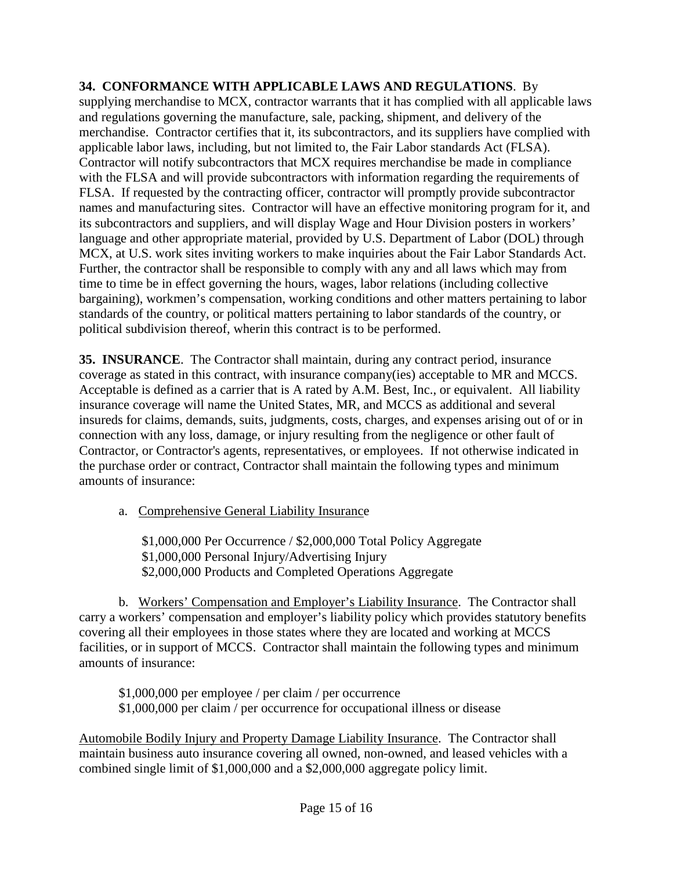#### <span id="page-14-0"></span>**34. CONFORMANCE WITH APPLICABLE LAWS AND REGULATIONS**. By

supplying merchandise to MCX, contractor warrants that it has complied with all applicable laws and regulations governing the manufacture, sale, packing, shipment, and delivery of the merchandise. Contractor certifies that it, its subcontractors, and its suppliers have complied with applicable labor laws, including, but not limited to, the Fair Labor standards Act (FLSA). Contractor will notify subcontractors that MCX requires merchandise be made in compliance with the FLSA and will provide subcontractors with information regarding the requirements of FLSA. If requested by the contracting officer, contractor will promptly provide subcontractor names and manufacturing sites. Contractor will have an effective monitoring program for it, and its subcontractors and suppliers, and will display Wage and Hour Division posters in workers' language and other appropriate material, provided by U.S. Department of Labor (DOL) through MCX, at U.S. work sites inviting workers to make inquiries about the Fair Labor Standards Act. Further, the contractor shall be responsible to comply with any and all laws which may from time to time be in effect governing the hours, wages, labor relations (including collective bargaining), workmen's compensation, working conditions and other matters pertaining to labor standards of the country, or political matters pertaining to labor standards of the country, or political subdivision thereof, wherin this contract is to be performed.

<span id="page-14-1"></span>**35. INSURANCE**. The Contractor shall maintain, during any contract period, insurance coverage as stated in this contract, with insurance company(ies) acceptable to MR and MCCS. Acceptable is defined as a carrier that is A rated by A.M. Best, Inc., or equivalent. All liability insurance coverage will name the United States, MR, and MCCS as additional and several insureds for claims, demands, suits, judgments, costs, charges, and expenses arising out of or in connection with any loss, damage, or injury resulting from the negligence or other fault of Contractor, or Contractor's agents, representatives, or employees. If not otherwise indicated in the purchase order or contract, Contractor shall maintain the following types and minimum amounts of insurance:

a. Comprehensive General Liability Insurance

\$1,000,000 Per Occurrence / \$2,000,000 Total Policy Aggregate \$1,000,000 Personal Injury/Advertising Injury \$2,000,000 Products and Completed Operations Aggregate

b. Workers' Compensation and Employer's Liability Insurance. The Contractor shall carry a workers' compensation and employer's liability policy which provides statutory benefits covering all their employees in those states where they are located and working at MCCS facilities, or in support of MCCS. Contractor shall maintain the following types and minimum amounts of insurance:

\$1,000,000 per employee / per claim / per occurrence \$1,000,000 per claim / per occurrence for occupational illness or disease

Automobile Bodily Injury and Property Damage Liability Insurance. The Contractor shall maintain business auto insurance covering all owned, non-owned, and leased vehicles with a combined single limit of \$1,000,000 and a \$2,000,000 aggregate policy limit.